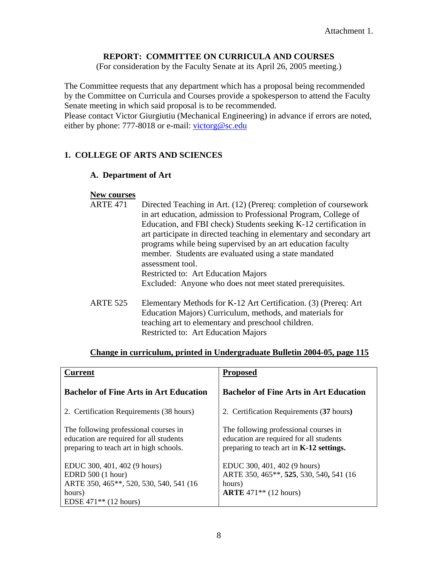### **REPORT: COMMITTEE ON CURRICULA AND COURSES**

(For consideration by the Faculty Senate at its April 26, 2005 meeting.)

The Committee requests that any department which has a proposal being recommended by the Committee on Curricula and Courses provide a spokesperson to attend the Faculty Senate meeting in which said proposal is to be recommended.

Please contact Victor Giurgiutiu (Mechanical Engineering) in advance if errors are noted, either by phone: 777-8018 or e-mail: [victorg@sc.edu](mailto:victorg@sc.edu)

#### **1. COLLEGE OF ARTS AND SCIENCES**

#### **A. Department of Art**

#### **New courses**

| <b>ARTE 471</b> | Directed Teaching in Art. (12) (Prereq: completion of coursework     |
|-----------------|----------------------------------------------------------------------|
|                 | in art education, admission to Professional Program, College of      |
|                 | Education, and FBI check) Students seeking K-12 certification in     |
|                 | art participate in directed teaching in elementary and secondary art |
|                 | programs while being supervised by an art education faculty          |
|                 | member. Students are evaluated using a state mandated                |
|                 | assessment tool.                                                     |
|                 | Restricted to: Art Education Majors                                  |
|                 | Excluded: Anyone who does not meet stated prerequisites.             |
| <b>ARTE 525</b> | Elementary Methods for K-12 Art Certification. (3) (Prereq: Art      |
|                 | Education Majors) Curriculum, methods, and materials for             |
|                 | teaching art to elementary and preschool children.                   |

# Restricted to: Art Education Majors

| <b>Current</b>                                                                                                                     | <b>Proposed</b>                                                                                                              |
|------------------------------------------------------------------------------------------------------------------------------------|------------------------------------------------------------------------------------------------------------------------------|
| <b>Bachelor of Fine Arts in Art Education</b>                                                                                      | <b>Bachelor of Fine Arts in Art Education</b>                                                                                |
| 2. Certification Requirements (38 hours)                                                                                           | 2. Certification Requirements (37 hours)                                                                                     |
| The following professional courses in<br>education are required for all students<br>preparing to teach art in high schools.        | The following professional courses in<br>education are required for all students<br>preparing to teach art in K-12 settings. |
| EDUC 300, 401, 402 (9 hours)<br>EDRD 500 (1 hour)<br>ARTE 350, 465**, 520, 530, 540, 541 (16)<br>hours)<br>EDSE $471**$ (12 hours) | EDUC 300, 401, 402 (9 hours)<br>ARTE 350, 465**, 525, 530, 540, 541 (16)<br>hours)<br><b>ARTE</b> 471** $(12 \text{ hours})$ |

#### **Change in curriculum, printed in Undergraduate Bulletin 2004-05, page 115**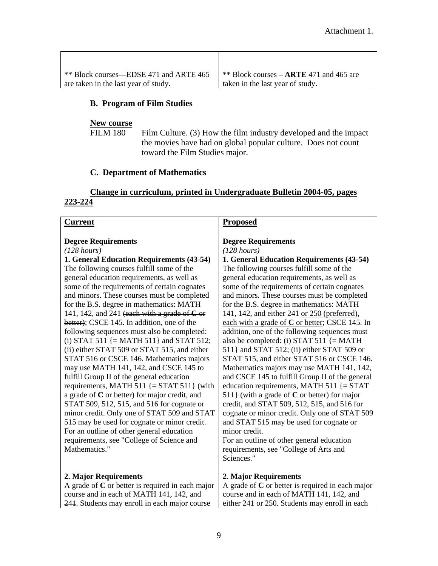| ** Block courses—EDSE 471 and ARTE 465 | ** Block courses $-$ ARTE 471 and 465 are |
|----------------------------------------|-------------------------------------------|
| are taken in the last year of study.   | taken in the last year of study.          |

#### **B. Program of Film Studies**

#### **New course**

FILM 180 Film Culture. (3) How the film industry developed and the impact the movies have had on global popular culture. Does not count toward the Film Studies major.

#### **C. Department of Mathematics**

#### **Change in curriculum, printed in Undergraduate Bulletin 2004-05, pages 223-224**

#### **Current**

#### **Degree Requirements**

#### *(128 hours)*

**1. General Education Requirements (43-54)** The following courses fulfill some of the general education requirements, as well as some of the requirements of certain cognates and minors. These courses must be completed for the B.S. degree in mathematics: MATH 141, 142, and 241 (each with a grade of **C** or better); CSCE 145. In addition, one of the following sequences must also be completed: (i) STAT 511  $\{ = \text{MATH 511} \}$  and STAT 512; (ii) either STAT 509 or STAT 515, and either STAT 516 or CSCE 146. Mathematics majors may use MATH 141, 142, and CSCE 145 to fulfill Group II of the general education requirements, MATH  $511$  {= STAT  $511$ } (with a grade of **C** or better) for major credit, and STAT 509, 512, 515, and 516 for cognate or minor credit. Only one of STAT 509 and STAT 515 may be used for cognate or minor credit. For an outline of other general education requirements, see "College of Science and Mathematics."

#### **2. Major Requirements**

A grade of **C** or better is required in each major course and in each of MATH 141, 142, and 241. Students may enroll in each major course

#### **Proposed**

#### **Degree Requirements**

#### *(128 hours)*

**1. General Education Requirements (43-54)** The following courses fulfill some of the general education requirements, as well as some of the requirements of certain cognates and minors. These courses must be completed for the B.S. degree in mathematics: MATH 141, 142, and either 241 or 250 (preferred), each with a grade of **C** or better; CSCE 145. In addition, one of the following sequences must also be completed: (i) STAT 511  $\{ = \text{MATH}$ 511} and STAT 512; (ii) either STAT 509 or STAT 515, and either STAT 516 or CSCE 146. Mathematics majors may use MATH 141, 142, and CSCE 145 to fulfill Group II of the general education requirements, MATH 511  $\{=\text{STAT}$ 511} (with a grade of **C** or better) for major credit, and STAT 509, 512, 515, and 516 for cognate or minor credit. Only one of STAT 509 and STAT 515 may be used for cognate or minor credit.

For an outline of other general education requirements, see "College of Arts and Sciences."

#### **2. Major Requirements**

A grade of **C** or better is required in each major course and in each of MATH 141, 142, and either 241 or 250. Students may enroll in each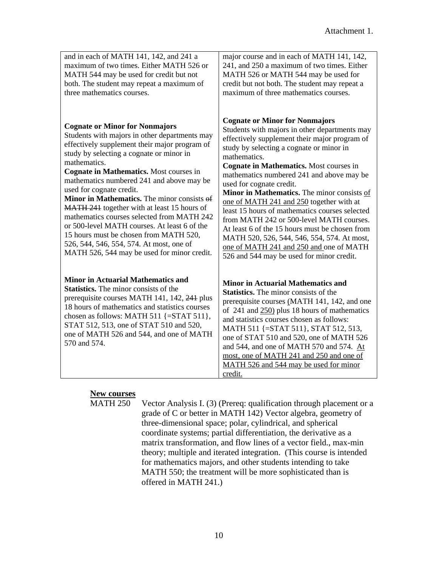| and in each of MATH 141, 142, and 241 a<br>maximum of two times. Either MATH 526 or<br>MATH 544 may be used for credit but not<br>both. The student may repeat a maximum of<br>three mathematics courses.                                                                                                                                                                                                                                                                                                                                                                                                                                                | major course and in each of MATH 141, 142,<br>241, and 250 a maximum of two times. Either<br>MATH 526 or MATH 544 may be used for<br>credit but not both. The student may repeat a<br>maximum of three mathematics courses.                                                                                                                                                                                                                                                                                                                                                                                                                                                                               |
|----------------------------------------------------------------------------------------------------------------------------------------------------------------------------------------------------------------------------------------------------------------------------------------------------------------------------------------------------------------------------------------------------------------------------------------------------------------------------------------------------------------------------------------------------------------------------------------------------------------------------------------------------------|-----------------------------------------------------------------------------------------------------------------------------------------------------------------------------------------------------------------------------------------------------------------------------------------------------------------------------------------------------------------------------------------------------------------------------------------------------------------------------------------------------------------------------------------------------------------------------------------------------------------------------------------------------------------------------------------------------------|
| <b>Cognate or Minor for Nonmajors</b><br>Students with majors in other departments may<br>effectively supplement their major program of<br>study by selecting a cognate or minor in<br>mathematics.<br>Cognate in Mathematics. Most courses in<br>mathematics numbered 241 and above may be<br>used for cognate credit.<br>Minor in Mathematics. The minor consists of<br>MATH 241 together with at least 15 hours of<br>mathematics courses selected from MATH 242<br>or 500-level MATH courses. At least 6 of the<br>15 hours must be chosen from MATH 520,<br>526, 544, 546, 554, 574. At most, one of<br>MATH 526, 544 may be used for minor credit. | <b>Cognate or Minor for Nonmajors</b><br>Students with majors in other departments may<br>effectively supplement their major program of<br>study by selecting a cognate or minor in<br>mathematics.<br>Cognate in Mathematics. Most courses in<br>mathematics numbered 241 and above may be<br>used for cognate credit.<br>Minor in Mathematics. The minor consists of<br>one of MATH 241 and 250 together with at<br>least 15 hours of mathematics courses selected<br>from MATH 242 or 500-level MATH courses.<br>At least 6 of the 15 hours must be chosen from<br>MATH 520, 526, 544, 546, 554, 574. At most,<br>one of MATH 241 and 250 and one of MATH<br>526 and 544 may be used for minor credit. |
| <b>Minor in Actuarial Mathematics and</b><br><b>Statistics.</b> The minor consists of the<br>prerequisite courses MATH 141, 142, 241 plus<br>18 hours of mathematics and statistics courses<br>chosen as follows: MATH 511 $\{=\text{STAT } 511\}$ ,<br>STAT 512, 513, one of STAT 510 and 520,<br>one of MATH 526 and 544, and one of MATH<br>570 and 574.                                                                                                                                                                                                                                                                                              | <b>Minor in Actuarial Mathematics and</b><br><b>Statistics.</b> The minor consists of the<br>prerequisite courses (MATH 141, 142, and one<br>of $241$ and $250$ plus 18 hours of mathematics<br>and statistics courses chosen as follows:<br>MATH 511 {=STAT 511}, STAT 512, 513,<br>one of STAT 510 and 520, one of MATH 526<br>and 544, and one of MATH 570 and 574. At<br>most, one of MATH 241 and 250 and one of<br>MATH 526 and 544 may be used for minor<br>credit.                                                                                                                                                                                                                                |

#### **New courses**

MATH 250 Vector Analysis I. (3) (Prereq: qualification through placement or a grade of C or better in MATH 142) Vector algebra, geometry of three-dimensional space; polar, cylindrical, and spherical coordinate systems; partial differentiation, the derivative as a matrix transformation, and flow lines of a vector field., max-min theory; multiple and iterated integration. (This course is intended for mathematics majors, and other students intending to take MATH 550; the treatment will be more sophisticated than is offered in MATH 241.)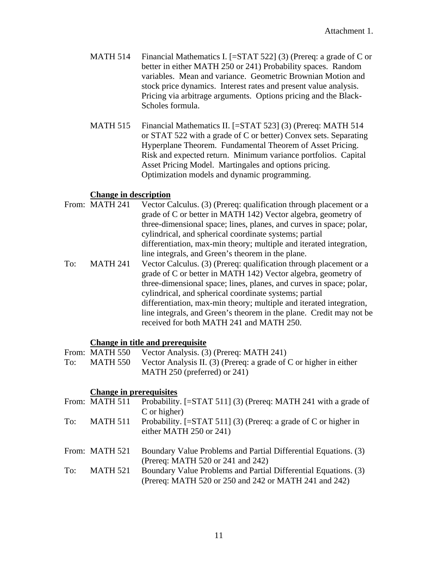- MATH 514 Financial Mathematics I. [=STAT 522] (3) (Prereq: a grade of C or better in either MATH 250 or 241) Probability spaces. Random variables. Mean and variance. Geometric Brownian Motion and stock price dynamics. Interest rates and present value analysis. Pricing via arbitrage arguments. Options pricing and the Black-Scholes formula.
- MATH 515 Financial Mathematics II. [=STAT 523] (3) (Prereq: MATH 514 or STAT 522 with a grade of C or better) Convex sets. Separating Hyperplane Theorem. Fundamental Theorem of Asset Pricing. Risk and expected return. Minimum variance portfolios. Capital Asset Pricing Model. Martingales and options pricing. Optimization models and dynamic programming.

#### **Change in description**

From: MATH 241 Vector Calculus. (3) (Prereq: qualification through placement or a grade of C or better in MATH 142) Vector algebra, geometry of three-dimensional space; lines, planes, and curves in space; polar, cylindrical, and spherical coordinate systems; partial differentiation, max-min theory; multiple and iterated integration, line integrals, and Green's theorem in the plane. To: MATH 241 Vector Calculus. (3) (Prereq: qualification through placement or a grade of C or better in MATH 142) Vector algebra, geometry of three-dimensional space; lines, planes, and curves in space; polar, cylindrical, and spherical coordinate systems; partial differentiation, max-min theory; multiple and iterated integration, line integrals, and Green's theorem in the plane. Credit may not be received for both MATH 241 and MATH 250.

#### **Change in title and prerequisite**

- From: MATH 550 Vector Analysis. (3) (Prereq: MATH 241)
- To: MATH 550 Vector Analysis II. (3) (Prereq: a grade of C or higher in either MATH 250 (preferred) or 241)

#### **Change in prerequisites**

|     | From: MATH 511  | Probability. [=STAT 511] (3) (Prereq: MATH 241 with a grade of    |
|-----|-----------------|-------------------------------------------------------------------|
|     |                 | C or higher)                                                      |
| To: | <b>MATH 511</b> | Probability. $[=STAT 511]$ (3) (Prereq: a grade of C or higher in |
|     |                 | either MATH 250 or 241)                                           |
|     |                 |                                                                   |
|     | From: MATH 521  | Boundary Value Problems and Partial Differential Equations. (3)   |
|     |                 | (Prereq: MATH 520 or 241 and 242)                                 |
| To: | <b>MATH 521</b> | Boundary Value Problems and Partial Differential Equations. (3)   |
|     |                 | (Prereq: MATH 520 or 250 and 242 or MATH 241 and 242)             |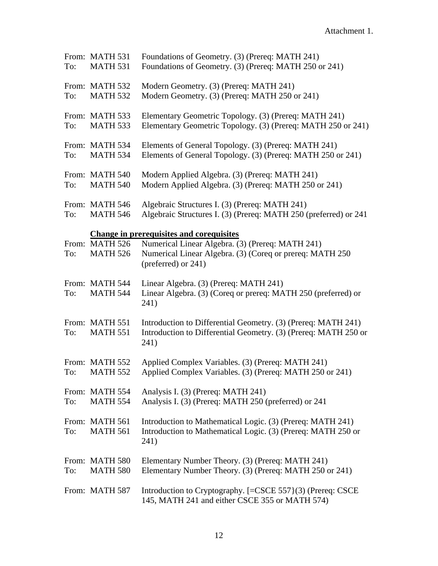| To: | From: MATH 531<br><b>MATH 531</b> | Foundations of Geometry. (3) (Prereq: MATH 241)<br>Foundations of Geometry. (3) (Prereq: MATH 250 or 241)                                |
|-----|-----------------------------------|------------------------------------------------------------------------------------------------------------------------------------------|
| To: | From: MATH 532<br><b>MATH 532</b> | Modern Geometry. (3) (Prereq: MATH 241)<br>Modern Geometry. (3) (Prereq: MATH 250 or 241)                                                |
| To: | From: MATH 533<br><b>MATH 533</b> | Elementary Geometric Topology. (3) (Prereq: MATH 241)<br>Elementary Geometric Topology. (3) (Prereq: MATH 250 or 241)                    |
| To: | From: MATH 534<br><b>MATH 534</b> | Elements of General Topology. (3) (Prereq: MATH 241)<br>Elements of General Topology. (3) (Prereq: MATH 250 or 241)                      |
| To: | From: MATH 540<br><b>MATH 540</b> | Modern Applied Algebra. (3) (Prereq: MATH 241)<br>Modern Applied Algebra. (3) (Prereq: MATH 250 or 241)                                  |
| To: | From: MATH 546<br><b>MATH 546</b> | Algebraic Structures I. (3) (Prereq: MATH 241)<br>Algebraic Structures I. (3) (Prereq: MATH 250 (preferred) or 241                       |
|     |                                   | <b>Change in prerequisites and corequisites</b>                                                                                          |
| To: | From: MATH 526<br><b>MATH 526</b> | Numerical Linear Algebra. (3) (Prereq: MATH 241)<br>Numerical Linear Algebra. (3) (Coreq or prereq: MATH 250<br>(preferred) or 241)      |
| To: | From: MATH 544<br><b>MATH 544</b> | Linear Algebra. (3) (Prereq: MATH 241)<br>Linear Algebra. (3) (Coreq or prereq: MATH 250 (preferred) or<br>241)                          |
| To: | From: MATH 551<br><b>MATH 551</b> | Introduction to Differential Geometry. (3) (Prereq: MATH 241)<br>Introduction to Differential Geometry. (3) (Prereq: MATH 250 or<br>241) |
| To: | From: MATH 552<br><b>MATH 552</b> | Applied Complex Variables. (3) (Prereq: MATH 241)<br>Applied Complex Variables. (3) (Prereq: MATH 250 or 241)                            |
| To: | From: MATH 554<br><b>MATH 554</b> | Analysis I. (3) (Prereq: MATH 241)<br>Analysis I. (3) (Prereq: MATH 250 (preferred) or 241                                               |
| To: | From: MATH 561<br><b>MATH 561</b> | Introduction to Mathematical Logic. (3) (Prereq: MATH 241)<br>Introduction to Mathematical Logic. (3) (Prereq: MATH 250 or<br>241)       |
| To: | From: MATH 580<br><b>MATH 580</b> | Elementary Number Theory. (3) (Prereq: MATH 241)<br>Elementary Number Theory. (3) (Prereq: MATH 250 or 241)                              |
|     | From: MATH 587                    | Introduction to Cryptography. [=CSCE 557}(3) (Prereq: CSCE<br>145, MATH 241 and either CSCE 355 or MATH 574)                             |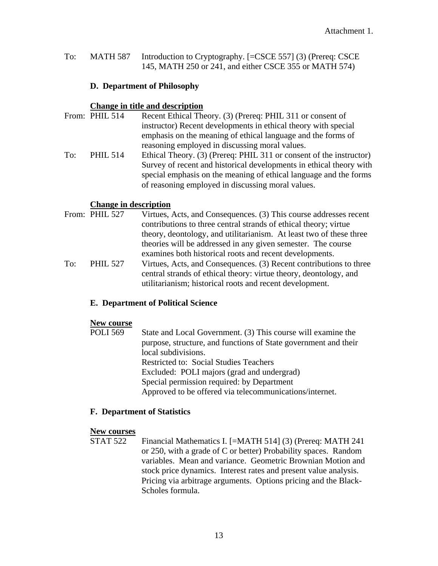To: MATH 587 Introduction to Cryptography. [=CSCE 557] (3) (Prereq: CSCE 145, MATH 250 or 241, and either CSCE 355 or MATH 574)

#### **D. Department of Philosophy**

#### **Change in title and description**

|     | From: PHIL 514  | Recent Ethical Theory. (3) (Prereq: PHIL 311 or consent of          |
|-----|-----------------|---------------------------------------------------------------------|
|     |                 | instructor) Recent developments in ethical theory with special      |
|     |                 | emphasis on the meaning of ethical language and the forms of        |
|     |                 | reasoning employed in discussing moral values.                      |
| To: | <b>PHIL 514</b> | Ethical Theory. (3) (Prereq: PHIL 311 or consent of the instructor) |
|     |                 | Survey of recent and historical developments in ethical theory with |
|     |                 | special emphasis on the meaning of ethical language and the forms   |
|     |                 | of reasoning employed in discussing moral values.                   |

#### **Change in description**

From: PHIL 527 Virtues, Acts, and Consequences. (3) This course addresses recent contributions to three central strands of ethical theory; virtue theory, deontology, and utilitarianism. At least two of these three theories will be addressed in any given semester. The course examines both historical roots and recent developments. To: PHIL 527 Virtues, Acts, and Consequences. (3) Recent contributions to three central strands of ethical theory: virtue theory, deontology, and utilitarianism; historical roots and recent development.

#### **E. Department of Political Science**

#### **New course**

| POLI 569 | State and Local Government. (3) This course will examine the    |
|----------|-----------------------------------------------------------------|
|          | purpose, structure, and functions of State government and their |
|          | local subdivisions.                                             |
|          | <b>Restricted to: Social Studies Teachers</b>                   |
|          | Excluded: POLI majors (grad and undergrad)                      |
|          | Special permission required: by Department                      |
|          | Approved to be offered via telecommunications/internet.         |

#### **F. Department of Statistics**

**New courses**<br>STAT 522 Financial Mathematics I. [=MATH 514] (3) (Prereq: MATH 241 or 250, with a grade of C or better) Probability spaces. Random variables. Mean and variance. Geometric Brownian Motion and stock price dynamics. Interest rates and present value analysis. Pricing via arbitrage arguments. Options pricing and the Black-Scholes formula.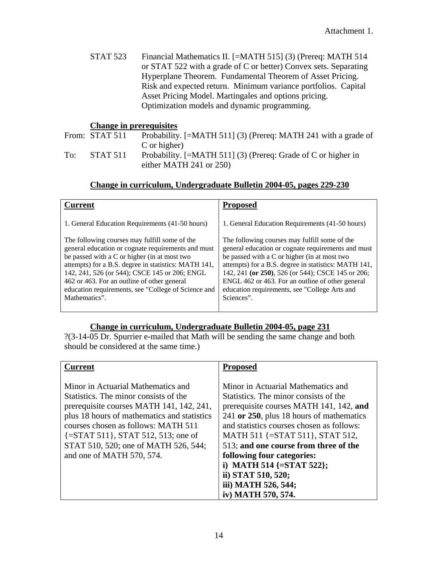STAT 523 Financial Mathematics II. [=MATH 515] (3) (Prereq: MATH 514 or STAT 522 with a grade of C or better) Convex sets. Separating Hyperplane Theorem. Fundamental Theorem of Asset Pricing. Risk and expected return. Minimum variance portfolios. Capital Asset Pricing Model. Martingales and options pricing. Optimization models and dynamic programming.

#### **Change in prerequisites**

From: STAT 511 Probability. [=MATH 511] (3) (Prereq: MATH 241 with a grade of C or higher) To: STAT 511 Probability. [=MATH 511] (3) (Prereq: Grade of C or higher in

either MATH 241 or 250)

#### **Change in curriculum, Undergraduate Bulletin 2004-05, pages 229-230**

| Current                                                                                                                                                                                                                                                                                                                                                                             | <b>Proposed</b>                                                                                                                                                                                                                                                                                                                                                                     |
|-------------------------------------------------------------------------------------------------------------------------------------------------------------------------------------------------------------------------------------------------------------------------------------------------------------------------------------------------------------------------------------|-------------------------------------------------------------------------------------------------------------------------------------------------------------------------------------------------------------------------------------------------------------------------------------------------------------------------------------------------------------------------------------|
| 1. General Education Requirements (41-50 hours)                                                                                                                                                                                                                                                                                                                                     | 1. General Education Requirements (41-50 hours)                                                                                                                                                                                                                                                                                                                                     |
| The following courses may fulfill some of the<br>general education or cognate requirements and must<br>be passed with a C or higher (in at most two<br>attempts) for a B.S. degree in statistics: MATH 141,<br>142, 241, 526 (or 544); CSCE 145 or 206; ENGL<br>462 or 463. For an outline of other general<br>education requirements, see "College of Science and<br>Mathematics". | The following courses may fulfill some of the<br>general education or cognate requirements and must<br>be passed with a C or higher (in at most two<br>attempts) for a B.S. degree in statistics: MATH 141,<br>142, 241 (or 250), 526 (or 544); CSCE 145 or 206;<br>ENGL 462 or 463. For an outline of other general<br>education requirements, see "College Arts and<br>Sciences". |

#### **Change in curriculum, Undergraduate Bulletin 2004-05, page 231**

?(3-14-05 Dr. Spurrier e-mailed that Math will be sending the same change and both should be considered at the same time.)

| <b>Current</b>                                                                                                                                                                                                                                                                                                                         | <b>Proposed</b>                                                                                                                                                                                                                                                                                                                                                                                                                      |
|----------------------------------------------------------------------------------------------------------------------------------------------------------------------------------------------------------------------------------------------------------------------------------------------------------------------------------------|--------------------------------------------------------------------------------------------------------------------------------------------------------------------------------------------------------------------------------------------------------------------------------------------------------------------------------------------------------------------------------------------------------------------------------------|
| Minor in Actuarial Mathematics and<br>Statistics. The minor consists of the<br>prerequisite courses MATH 141, 142, 241,<br>plus 18 hours of mathematics and statistics<br>courses chosen as follows: MATH 511<br>$\{\equiv$ STAT 511 $\}$ , STAT 512, 513; one of<br>STAT 510, 520; one of MATH 526, 544;<br>and one of MATH 570, 574. | Minor in Actuarial Mathematics and<br>Statistics. The minor consists of the<br>prerequisite courses MATH 141, 142, and<br>241 or 250, plus 18 hours of mathematics<br>and statistics courses chosen as follows:<br>MATH 511 {=STAT 511}, STAT 512,<br>513; and one course from three of the<br>following four categories:<br>i) MATH 514 $\{=\text{STAT } 522\};$<br>ii) STAT 510, 520;<br>iii) MATH 526, 544;<br>iv) MATH 570, 574. |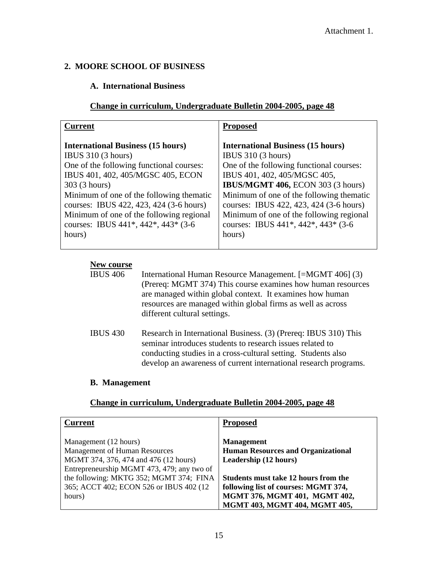#### **2. MOORE SCHOOL OF BUSINESS**

#### **A. International Business**

#### **Change in curriculum, Undergraduate Bulletin 2004-2005, page 48**

| <b>Current</b>                                                                                                                                                                     | <b>Proposed</b>                                                                                                                                                                    |
|------------------------------------------------------------------------------------------------------------------------------------------------------------------------------------|------------------------------------------------------------------------------------------------------------------------------------------------------------------------------------|
| <b>International Business (15 hours)</b><br>IBUS $310(3 \text{ hours})$<br>One of the following functional courses:<br>IBUS 401, 402, 405/MGSC 405, ECON                           | <b>International Business (15 hours)</b><br><b>IBUS 310 (3 hours)</b><br>One of the following functional courses:<br>IBUS 401, 402, 405/MGSC 405,                                  |
| 303 (3 hours)                                                                                                                                                                      | <b>IBUS/MGMT 406, ECON 303 (3 hours)</b>                                                                                                                                           |
| Minimum of one of the following thematic<br>courses: IBUS 422, 423, 424 (3-6 hours)<br>Minimum of one of the following regional<br>courses: IBUS $441^*$ , $442^*$ , $443^*$ (3-6) | Minimum of one of the following thematic<br>courses: IBUS 422, 423, 424 (3-6 hours)<br>Minimum of one of the following regional<br>courses: IBUS $441^*$ , $442^*$ , $443^*$ (3-6) |
| hours)                                                                                                                                                                             | hours)                                                                                                                                                                             |

#### **New course**

```
IBUS 406 International Human Resource Management. [=MGMT 406] (3) 
  (Prereq: MGMT 374) This course examines how human resources 
  are managed within global context. It examines how human 
  resources are managed within global firms as well as across 
  different cultural settings.
```
IBUS 430 Research in International Business. (3) (Prereq: IBUS 310) This seminar introduces students to research issues related to conducting studies in a cross-cultural setting. Students also develop an awareness of current international research programs.

#### **B. Management**

#### **Change in curriculum, Undergraduate Bulletin 2004-2005, page 48**

| <b>Current</b>                             | <b>Proposed</b>                           |
|--------------------------------------------|-------------------------------------------|
| Management (12 hours)                      | <b>Management</b>                         |
| <b>Management of Human Resources</b>       | <b>Human Resources and Organizational</b> |
| MGMT 374, 376, 474 and 476 (12 hours)      | Leadership (12 hours)                     |
| Entrepreneurship MGMT 473, 479; any two of |                                           |
| the following: MKTG 352; MGMT 374; FINA    | Students must take 12 hours from the      |
| 365; ACCT 402; ECON 526 or IBUS 402 (12)   | following list of courses: MGMT 374,      |
| hours)                                     | MGMT 376, MGMT 401, MGMT 402,             |
|                                            | MGMT 403, MGMT 404, MGMT 405,             |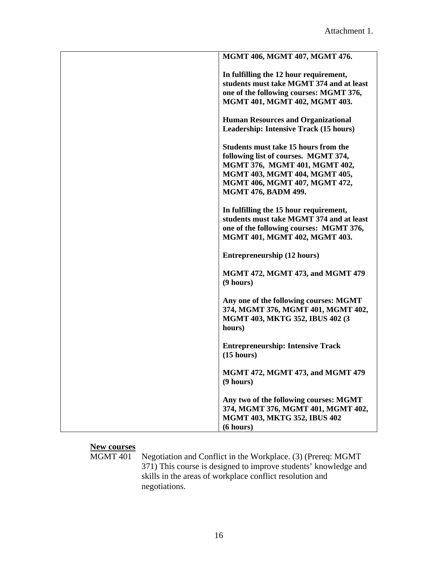| MGMT 406, MGMT 407, MGMT 476.                                                                                                                                                                                 |
|---------------------------------------------------------------------------------------------------------------------------------------------------------------------------------------------------------------|
| In fulfilling the 12 hour requirement,<br>students must take MGMT 374 and at least<br>one of the following courses: MGMT 376,<br>MGMT 401, MGMT 402, MGMT 403.                                                |
| <b>Human Resources and Organizational</b><br>Leadership: Intensive Track (15 hours)                                                                                                                           |
| Students must take 15 hours from the<br>following list of courses. MGMT 374,<br>MGMT 376, MGMT 401, MGMT 402,<br>MGMT 403, MGMT 404, MGMT 405,<br>MGMT 406, MGMT 407, MGMT 472,<br><b>MGMT 476, BADM 499.</b> |
| In fulfilling the 15 hour requirement,<br>students must take MGMT 374 and at least<br>one of the following courses: MGMT 376,<br>MGMT 401, MGMT 402, MGMT 403.                                                |
| <b>Entrepreneurship (12 hours)</b>                                                                                                                                                                            |
| <b>MGMT 472, MGMT 473, and MGMT 479</b><br>(9 hours)                                                                                                                                                          |
| Any one of the following courses: MGMT<br>374, MGMT 376, MGMT 401, MGMT 402,<br>MGMT 403, MKTG 352, IBUS 402 (3<br>hours)                                                                                     |
| <b>Entrepreneurship: Intensive Track</b><br>(15 hours)                                                                                                                                                        |
| MGMT 472, MGMT 473, and MGMT 479<br>(9 hours)                                                                                                                                                                 |
| Any two of the following courses: MGMT<br>374, MGMT 376, MGMT 401, MGMT 402,<br><b>MGMT 403, MKTG 352, IBUS 402</b><br>(6 hours)                                                                              |

## **New courses**

MGMT 401 Negotiation and Conflict in the Workplace. (3) (Prereq: MGMT 371) This course is designed to improve students' knowledge and skills in the areas of workplace conflict resolution and negotiations.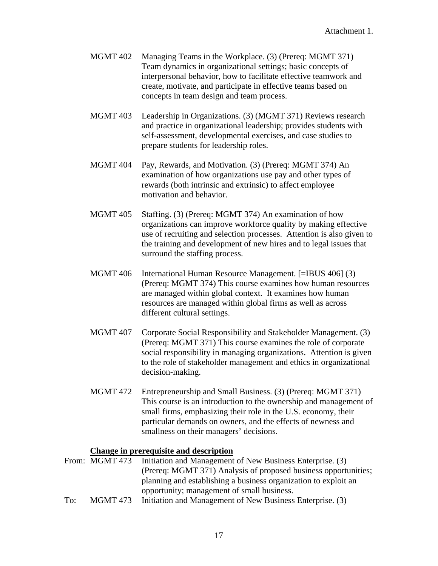- MGMT 402 Managing Teams in the Workplace. (3) (Prereq: MGMT 371) Team dynamics in organizational settings; basic concepts of interpersonal behavior, how to facilitate effective teamwork and create, motivate, and participate in effective teams based on concepts in team design and team process.
- MGMT 403 Leadership in Organizations. (3) (MGMT 371) Reviews research and practice in organizational leadership; provides students with self-assessment, developmental exercises, and case studies to prepare students for leadership roles.
- MGMT 404 Pay, Rewards, and Motivation. (3) (Prereq: MGMT 374) An examination of how organizations use pay and other types of rewards (both intrinsic and extrinsic) to affect employee motivation and behavior.
- MGMT 405 Staffing. (3) (Prereq: MGMT 374) An examination of how organizations can improve workforce quality by making effective use of recruiting and selection processes. Attention is also given to the training and development of new hires and to legal issues that surround the staffing process.
- MGMT 406 International Human Resource Management. [=IBUS 406] (3) (Prereq: MGMT 374) This course examines how human resources are managed within global context. It examines how human resources are managed within global firms as well as across different cultural settings.
- MGMT 407 Corporate Social Responsibility and Stakeholder Management. (3) (Prereq: MGMT 371) This course examines the role of corporate social responsibility in managing organizations. Attention is given to the role of stakeholder management and ethics in organizational decision-making.
- MGMT 472 Entrepreneurship and Small Business. (3) (Prereq: MGMT 371) This course is an introduction to the ownership and management of small firms, emphasizing their role in the U.S. economy, their particular demands on owners, and the effects of newness and smallness on their managers' decisions.

#### **Change in prerequisite and description**

- From: MGMT 473 Initiation and Management of New Business Enterprise. (3) (Prereq: MGMT 371) Analysis of proposed business opportunities; planning and establishing a business organization to exploit an opportunity; management of small business.
- To: MGMT 473 Initiation and Management of New Business Enterprise. (3)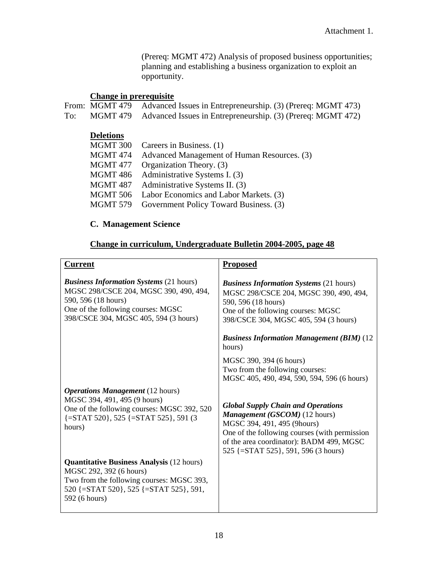(Prereq: MGMT 472) Analysis of proposed business opportunities; planning and establishing a business organization to exploit an opportunity.

### **Change in prerequisite**

From: MGMT 479 Advanced Issues in Entrepreneurship. (3) (Prereq: MGMT 473) To: MGMT 479 Advanced Issues in Entrepreneurship. (3) (Prereq: MGMT 472)

#### **Deletions**

| MGMT 300 | Careers in Business. (1)                    |
|----------|---------------------------------------------|
| MGMT 474 | Advanced Management of Human Resources. (3) |
| MGMT 477 | Organization Theory. (3)                    |
| MGMT 486 | Administrative Systems I. (3)               |
| MGMT 487 | Administrative Systems II. (3)              |
| MGMT 506 | Labor Economics and Labor Markets. (3)      |
| MGMT 579 | Government Policy Toward Business. (3)      |
|          |                                             |

#### **C. Management Science**

#### **Change in curriculum, Undergraduate Bulletin 2004-2005, page 48**

| <b>Current</b>                                                                                                                                                                                 | <b>Proposed</b>                                                                                                                                                                                                                                      |
|------------------------------------------------------------------------------------------------------------------------------------------------------------------------------------------------|------------------------------------------------------------------------------------------------------------------------------------------------------------------------------------------------------------------------------------------------------|
| <b>Business Information Systems (21 hours)</b><br>MGSC 298/CSCE 204, MGSC 390, 490, 494,<br>590, 596 (18 hours)<br>One of the following courses: MGSC<br>398/CSCE 304, MGSC 405, 594 (3 hours) | <b>Business Information Systems (21 hours)</b><br>MGSC 298/CSCE 204, MGSC 390, 490, 494,<br>590, 596 (18 hours)<br>One of the following courses: MGSC<br>398/CSCE 304, MGSC 405, 594 (3 hours)                                                       |
|                                                                                                                                                                                                | <b>Business Information Management (BIM) (12</b><br>hours)                                                                                                                                                                                           |
|                                                                                                                                                                                                | MGSC 390, 394 (6 hours)<br>Two from the following courses:<br>MGSC 405, 490, 494, 590, 594, 596 (6 hours)                                                                                                                                            |
| <b>Operations Management</b> (12 hours)<br>MGSC 394, 491, 495 (9 hours)<br>One of the following courses: MGSC 392, 520<br>$\{\equiv$ STAT 520}, 525 $\{\equiv$ STAT 525}, 591 (3<br>hours)     | <b>Global Supply Chain and Operations</b><br><b>Management (GSCOM)</b> (12 hours)<br>MGSC 394, 491, 495 (9hours)<br>One of the following courses (with permission<br>of the area coordinator): BADM 499, MGSC<br>525 {=STAT 525}, 591, 596 (3 hours) |
| <b>Quantitative Business Analysis (12 hours)</b><br>MGSC 292, 392 (6 hours)<br>Two from the following courses: MGSC 393,<br>520 {=STAT 520}, 525 {=STAT 525}, 591,<br>592 (6 hours)            |                                                                                                                                                                                                                                                      |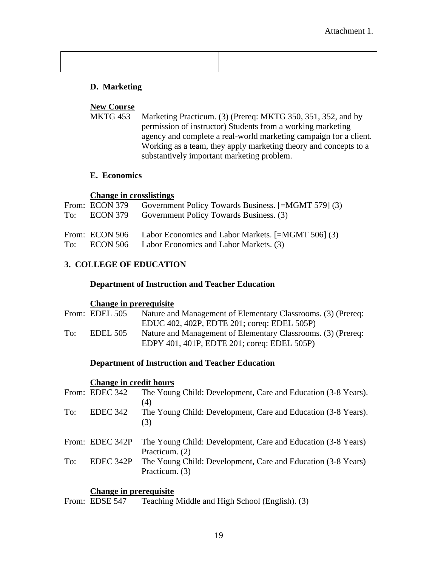#### **D. Marketing**

#### **New Course**

MKTG 453 Marketing Practicum. (3) (Prereq: MKTG 350, 351, 352, and by permission of instructor) Students from a working marketing agency and complete a real-world marketing campaign for a client. Working as a team, they apply marketing theory and concepts to a substantively important marketing problem.

#### **E. Economics**

#### **Change in crosslistings**

|  | From: ECON 379 Government Policy Towards Business. [=MGMT 579] (3)<br>To: ECON 379 Government Policy Towards Business. (3) |
|--|----------------------------------------------------------------------------------------------------------------------------|
|  | From: ECON 506 Labor Economics and Labor Markets. [=MGMT 506] (3)<br>To: ECON 506 Labor Economics and Labor Markets. (3)   |

#### **3. COLLEGE OF EDUCATION**

#### **Department of Instruction and Teacher Education**

#### **Change in prerequisite**

|     | From: EDEL 505  | Nature and Management of Elementary Classrooms. (3) (Prereq: |
|-----|-----------------|--------------------------------------------------------------|
|     |                 | EDUC 402, 402P, EDTE 201; coreq: EDEL 505P)                  |
| To: | <b>EDEL 505</b> | Nature and Management of Elementary Classrooms. (3) (Prereq: |
|     |                 | EDPY 401, 401P, EDTE 201; coreq: EDEL 505P)                  |

#### **Department of Instruction and Teacher Education**

#### **Change in credit hours**

|     | From: EDEC 342  | The Young Child: Development, Care and Education (3-8 Years).        |
|-----|-----------------|----------------------------------------------------------------------|
| To: | EDEC 342        | (4)<br>The Young Child: Development, Care and Education (3-8 Years). |
|     |                 | (3)                                                                  |
|     | From: EDEC 342P | The Young Child: Development, Care and Education (3-8 Years)         |
|     |                 | Practicum. (2)                                                       |
| To: | EDEC 342P       | The Young Child: Development, Care and Education (3-8 Years)         |
|     |                 | Practicum. (3)                                                       |
|     |                 |                                                                      |

**Change in prerequisite**<br>From: EDSE 547 Teaching Teaching Middle and High School (English). (3)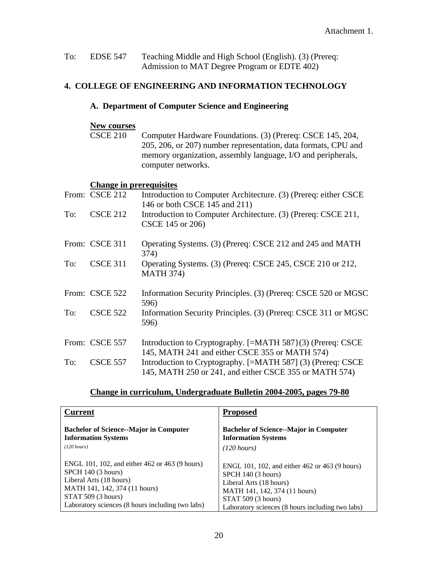| To: | <b>EDSE 547</b> | Teaching Middle and High School (English). (3) (Prereq: |
|-----|-----------------|---------------------------------------------------------|
|     |                 | Admission to MAT Degree Program or EDTE 402)            |

#### **4. COLLEGE OF ENGINEERING AND INFORMATION TECHNOLOGY**

#### **A. Department of Computer Science and Engineering**

#### **New courses**

CSCE 210 Computer Hardware Foundations. (3) (Prereq: CSCE 145, 204, 205, 206, or 207) number representation, data formats, CPU and memory organization, assembly language, I/O and peripherals, computer networks.

#### **Change in prerequisites**

|     | From: CSCE 212  | Introduction to Computer Architecture. (3) (Prereq: either CSCE<br>146 or both CSCE 145 and 211)                      |
|-----|-----------------|-----------------------------------------------------------------------------------------------------------------------|
| To: | <b>CSCE 212</b> | Introduction to Computer Architecture. (3) (Prereq: CSCE 211,<br>CSCE 145 or 206)                                     |
|     | From: CSCE 311  | Operating Systems. (3) (Prereq: CSCE 212 and 245 and MATH<br>374)                                                     |
| To: | <b>CSCE 311</b> | Operating Systems. (3) (Prereq: CSCE 245, CSCE 210 or 212,<br><b>MATH 374)</b>                                        |
|     | From: CSCE 522  | Information Security Principles. (3) (Prereq: CSCE 520 or MGSC<br>596)                                                |
| To: | <b>CSCE 522</b> | Information Security Principles. (3) (Prereq: CSCE 311 or MGSC<br>596)                                                |
|     | From: CSCE 557  | Introduction to Cryptography. [=MATH 587}(3) (Prereq: CSCE<br>145, MATH 241 and either CSCE 355 or MATH 574)          |
| To: | <b>CSCE 557</b> | Introduction to Cryptography. [=MATH 587] (3) (Prereq: CSCE<br>145, MATH 250 or 241, and either CSCE 355 or MATH 574) |

#### **Change in curriculum, Undergraduate Bulletin 2004-2005, pages 79-80**

| <b>Current</b>                                   | <b>Proposed</b>                                  |
|--------------------------------------------------|--------------------------------------------------|
| <b>Bachelor of Science--Major in Computer</b>    | <b>Bachelor of Science--Major in Computer</b>    |
| <b>Information Systems</b>                       | <b>Information Systems</b>                       |
| (120 hours)                                      | $(120 \; hours)$                                 |
| ENGL 101, 102, and either 462 or 463 (9 hours)   | ENGL 101, 102, and either 462 or 463 (9 hours)   |
| SPCH 140 (3 hours)                               | SPCH 140 (3 hours)                               |
| Liberal Arts (18 hours)                          | Liberal Arts (18 hours)                          |
| MATH 141, 142, 374 (11 hours)                    | MATH 141, 142, 374 (11 hours)                    |
| STAT 509 (3 hours)                               | STAT 509 (3 hours)                               |
| Laboratory sciences (8 hours including two labs) | Laboratory sciences (8 hours including two labs) |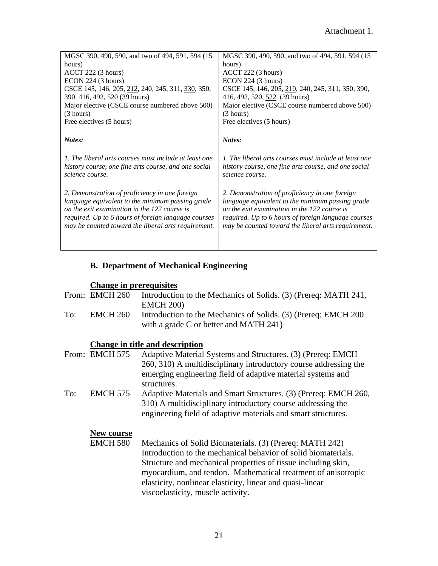| MGSC 390, 490, 590, and two of 494, 591, 594 (15)     | MGSC 390, 490, 590, and two of 494, 591, 594 (15      |
|-------------------------------------------------------|-------------------------------------------------------|
| hours)                                                | hours)                                                |
| ACCT 222 (3 hours)                                    | ACCT 222 (3 hours)                                    |
| ECON 224 (3 hours)                                    | ECON 224 (3 hours)                                    |
| CSCE 145, 146, 205, 212, 240, 245, 311, 330, 350,     | CSCE 145, 146, 205, 210, 240, 245, 311, 350, 390,     |
| 390, 416, 492, 520 (39 hours)                         | 416, 492, 520, 522 (39 hours)                         |
| Major elective (CSCE course numbered above 500)       | Major elective (CSCE course numbered above 500)       |
| (3 hours)                                             | (3 hours)                                             |
| Free electives (5 hours)                              | Free electives (5 hours)                              |
|                                                       |                                                       |
| Notes:                                                | Notes:                                                |
|                                                       |                                                       |
|                                                       |                                                       |
|                                                       |                                                       |
| 1. The liberal arts courses must include at least one | 1. The liberal arts courses must include at least one |
| history course, one fine arts course, and one social  | history course, one fine arts course, and one social  |
| science course.                                       | science course.                                       |
|                                                       |                                                       |
|                                                       |                                                       |
| 2. Demonstration of proficiency in one foreign        | 2. Demonstration of proficiency in one foreign        |
| language equivalent to the minimum passing grade      | language equivalent to the minimum passing grade      |
| on the exit examination in the 122 course is          | on the exit examination in the 122 course is          |
| required. Up to 6 hours of foreign language courses   | required. Up to 6 hours of foreign language courses   |
| may be counted toward the liberal arts requirement.   | may be counted toward the liberal arts requirement.   |
|                                                       |                                                       |
|                                                       |                                                       |

# **B. Department of Mechanical Engineering**

# **Change in prerequisites**

|     | From: EMCH 260  | Introduction to the Mechanics of Solids. (3) (Prereq: MATH 241,<br><b>EMCH 200)</b>                                                                                                                                                                                                                                                                           |
|-----|-----------------|---------------------------------------------------------------------------------------------------------------------------------------------------------------------------------------------------------------------------------------------------------------------------------------------------------------------------------------------------------------|
| To: | <b>EMCH 260</b> | Introduction to the Mechanics of Solids. (3) (Prereq: EMCH 200<br>with a grade $C$ or better and MATH 241)                                                                                                                                                                                                                                                    |
|     |                 | <b>Change in title and description</b>                                                                                                                                                                                                                                                                                                                        |
|     | From: EMCH 575  | Adaptive Material Systems and Structures. (3) (Prereq: EMCH<br>260, 310) A multidisciplinary introductory course addressing the<br>emerging engineering field of adaptive material systems and<br>structures.                                                                                                                                                 |
| To: | <b>EMCH 575</b> | Adaptive Materials and Smart Structures. (3) (Prereq: EMCH 260,<br>310) A multidisciplinary introductory course addressing the<br>engineering field of adaptive materials and smart structures.                                                                                                                                                               |
|     | New course      |                                                                                                                                                                                                                                                                                                                                                               |
|     | <b>EMCH 580</b> | Mechanics of Solid Biomaterials. (3) (Prereq: MATH 242)<br>Introduction to the mechanical behavior of solid biomaterials.<br>Structure and mechanical properties of tissue including skin,<br>myocardium, and tendon. Mathematical treatment of anisotropic<br>elasticity, nonlinear elasticity, linear and quasi-linear<br>viscoelasticity, muscle activity. |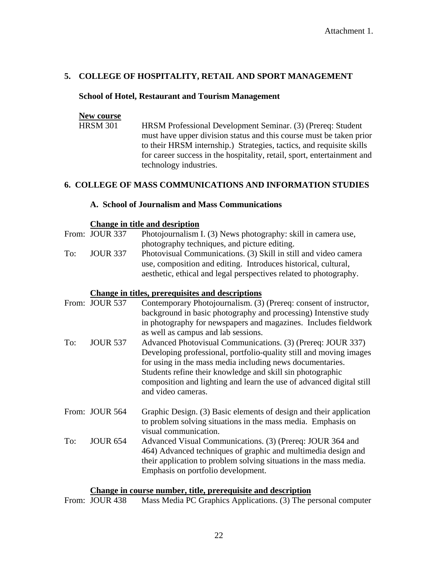#### **5. COLLEGE OF HOSPITALITY, RETAIL AND SPORT MANAGEMENT**

#### **School of Hotel, Restaurant and Tourism Management**

#### **New course**

HRSM 301 HRSM Professional Development Seminar. (3) (Prereq: Student must have upper division status and this course must be taken prior to their HRSM internship.) Strategies, tactics, and requisite skills for career success in the hospitality, retail, sport, entertainment and technology industries.

#### **6. COLLEGE OF MASS COMMUNICATIONS AND INFORMATION STUDIES**

#### **A. School of Journalism and Mass Communications**

#### **Change in title and desription**

|     | From: JOUR 337  | Photojournalism I. (3) News photography: skill in camera use,     |
|-----|-----------------|-------------------------------------------------------------------|
|     |                 | photography techniques, and picture editing.                      |
| To: | <b>JOUR 337</b> | Photovisual Communications. (3) Skill in still and video camera   |
|     |                 | use, composition and editing. Introduces historical, cultural,    |
|     |                 | aesthetic, ethical and legal perspectives related to photography. |

#### **Change in titles, prerequisites and descriptions**

|     | From: JOUR 537  | Contemporary Photojournalism. (3) (Prereq: consent of instructor,<br>background in basic photography and processing) Intenstive study<br>in photography for newspapers and magazines. Includes fieldwork<br>as well as campus and lab sessions.                                                                                                            |
|-----|-----------------|------------------------------------------------------------------------------------------------------------------------------------------------------------------------------------------------------------------------------------------------------------------------------------------------------------------------------------------------------------|
| To: | <b>JOUR 537</b> | Advanced Photovisual Communications. (3) (Prereq: JOUR 337)<br>Developing professional, portfolio-quality still and moving images<br>for using in the mass media including news documentaries.<br>Students refine their knowledge and skill sin photographic<br>composition and lighting and learn the use of advanced digital still<br>and video cameras. |
|     | From: JOUR 564  | Graphic Design. (3) Basic elements of design and their application<br>to problem solving situations in the mass media. Emphasis on<br>visual communication.                                                                                                                                                                                                |
| To: | <b>JOUR 654</b> | Advanced Visual Communications. (3) (Prereq: JOUR 364 and<br>464) Advanced techniques of graphic and multimedia design and<br>their application to problem solving situations in the mass media.<br>Emphasis on portfolio development.                                                                                                                     |

#### **Change in course number, title, prerequisite and description**

From: JOUR 438 Mass Media PC Graphics Applications. (3) The personal computer